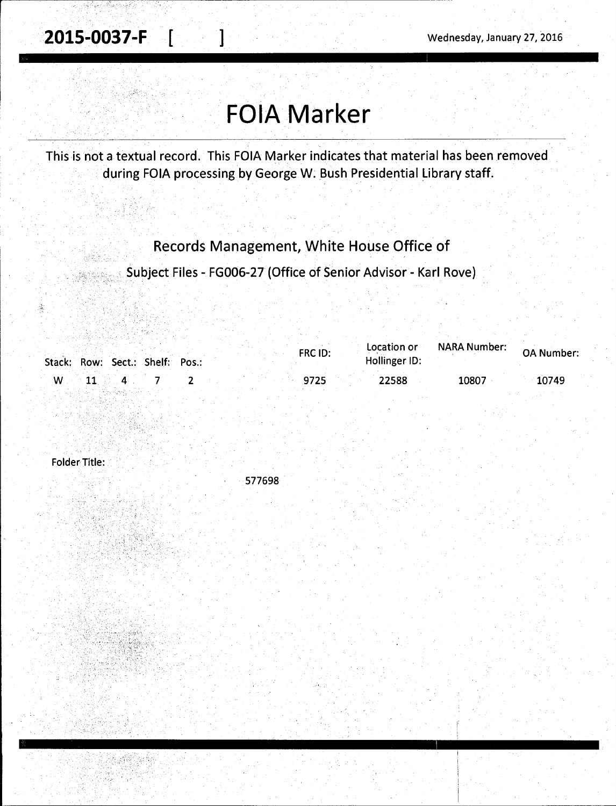**2015-0037-F** [ ] Wednesday, January 27, 2016

# **FOIA Marker**

This is not a textual record. This FOIA Marker indicates that material has been removed during FOIA processing by George W. Bush Presidential Library staff.

### Records Management, White House Office of

Subject Files - FGOOG-27 (Office of Senior Advisor - Karl Rove)

| FRC ID:<br>Stack: Row: Sect.: Shelf: Pos.: | <b>NARA Number:</b><br>Location or<br><b>OA Number:</b><br>Hollinger ID: |
|--------------------------------------------|--------------------------------------------------------------------------|
| <b>W</b><br>9725                           | 10749<br>22588<br>10807                                                  |
|                                            |                                                                          |

Folder Title:

577698

 $\lesssim 3$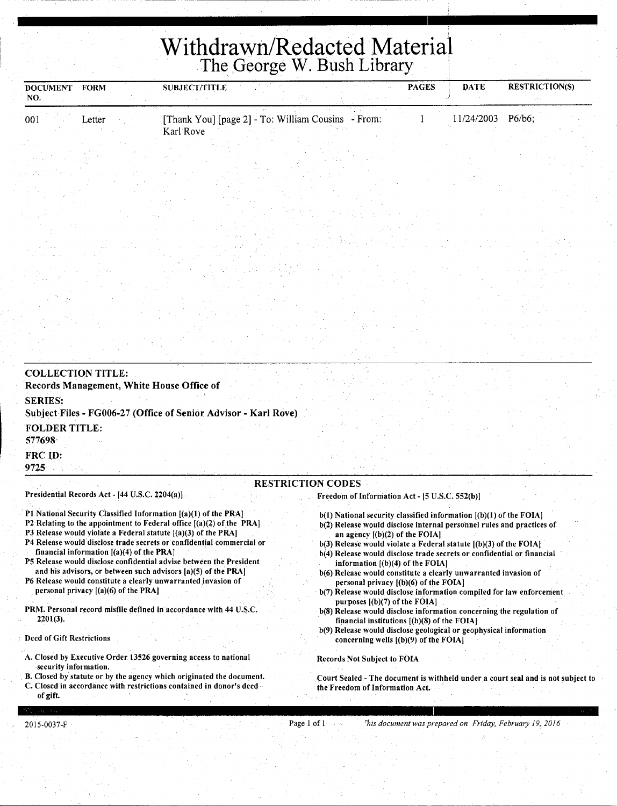## **Withdrawn/Redacted Material**  The George W. Bush Library 1

| <b>DOCUMENT</b><br>NO. | <b>FORM</b> | SUBJECT/TITLE |                                                    | <b>PAGES</b> | <b>DATE</b> | <b>RESTRICTION(S)</b> |
|------------------------|-------------|---------------|----------------------------------------------------|--------------|-------------|-----------------------|
| 001                    | Letter      | Karl Rove     | [Thank You] [page 2] - To: William Cousins - From: |              | 11/24/2003  | $P6/b6$ ;             |
|                        |             |               |                                                    |              |             |                       |

| <b>COLLECTION TITLE:</b><br>Records Management, White House Office of                                                                                                                                                                                                                                                                  |                                                                                                                                                                                                                                                           |  |
|----------------------------------------------------------------------------------------------------------------------------------------------------------------------------------------------------------------------------------------------------------------------------------------------------------------------------------------|-----------------------------------------------------------------------------------------------------------------------------------------------------------------------------------------------------------------------------------------------------------|--|
| <b>SERIES:</b><br>Subject Files - FG006-27 (Office of Senior Advisor - Karl Rove)                                                                                                                                                                                                                                                      |                                                                                                                                                                                                                                                           |  |
| <b>FOLDER TITLE:</b><br>577698<br>FRC ID:                                                                                                                                                                                                                                                                                              |                                                                                                                                                                                                                                                           |  |
| 9725                                                                                                                                                                                                                                                                                                                                   | <b>RESTRICTION CODES</b>                                                                                                                                                                                                                                  |  |
| Presidential Records Act - [44 U.S.C. 2204(a)].                                                                                                                                                                                                                                                                                        | Freedom of Information Act - [5 U.S.C. 552(b)]                                                                                                                                                                                                            |  |
| P1 National Security Classified Information $[(a)(1)$ of the PRA]<br>P2 Relating to the appointment to Federal office $[(a)(2)$ of the PRA]<br>P3 Release would violate a Federal statute $[(a)(3)$ of the PRA<br>P4 Release would disclose trade secrets or confidential commercial or<br>Grappiel information $[(a)(b)$ of the DD A1 | $b(1)$ National security classified information $(a)(1)$ of the FOIA.<br>b(2) Release would disclose internal personnel rules and practices of<br>an agency $[(b)(2)$ of the FOIA]<br>$b(3)$ Release would violate a Federal statute $(a)(3)$ of the FOIA |  |

- financial information [(a)(4) of the PRA] PS Release would disclose confidential advise between the President and his advisors, or between such advisors [a)(S) of the PRA)
- P6 Release would constitute a clearly unwarranted invasion of personal privacy [(a)(6) of the PRA]
- PRM. Personal record misfile defined in accordance with 44 U.S.C. 2201(3).

Deed of Gift Restrictions

- A. Closed by Executive Order l3S26 governing access to national security information.
- B. Closed by statute or by the agency which originated the document.
- C. Closed in accordance with restrictions contained in donor's deed of gift.
- b(4) Release would disclose trade secrets or confidential or financial information [(b)(4) of the FOIA)
- b(6) Release would constitute a clearly unwarranted invasion of personal privacy [(b)(6) of the FOIA)
- b(7) Release would disclose information compiled for law enforcement purposes [(b)(7) of the FOIA]
- b(8)·Release would disclose information concerning the regulation of financial institutions [(b)(8) of the FOIA]
- b(9) Release would disclose geological or geophysical information concerning wells [(b)(9) of the FOIA]

Records Not Subject to FOIA

Court Sealed - The document is withheld under a court seal and is not subject to the Freedom of Information Act.

2015-0037-F

Page 1 of 1 <sup>*rhis document was prepared on Friday, February 19, 2016*</sup>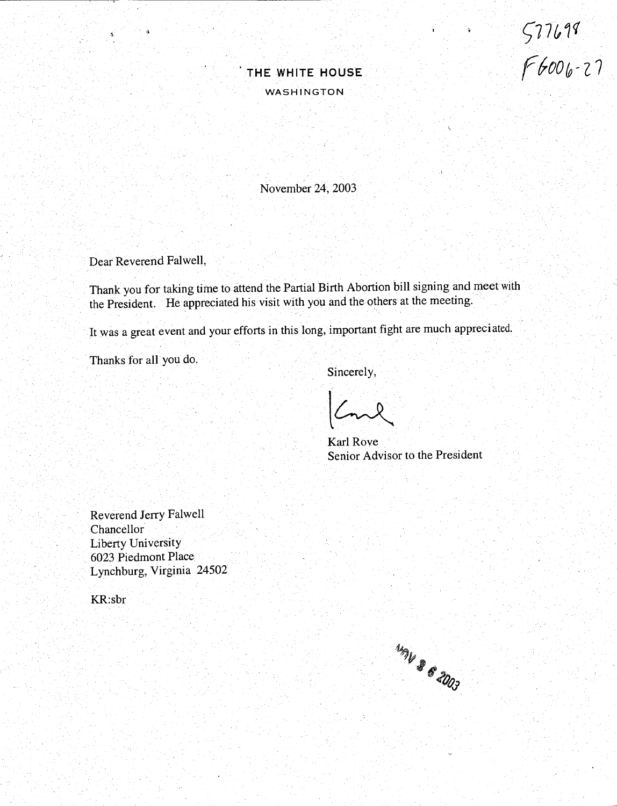$577698$  $F6006 - 27$ 

### THE WHITE HOUSE WASHINGTON

November 24, 2003

Dear Reverend Falwell,

Thank you for taking time to attend the Partial Birth Abortion bill signing and meet with the President. He appreciated his visit with you and the others at the meeting.

It was a great event and your efforts in this long, important fight are much appreciated.

Thanks for all you do.

Sincerely,

Karl Rove Senior Advisor to the President

Reverend Jerry Falwell Chancellor Liberty University 6023 Piedmont Place Lynchburg, Virginia 24502

KR:sbr

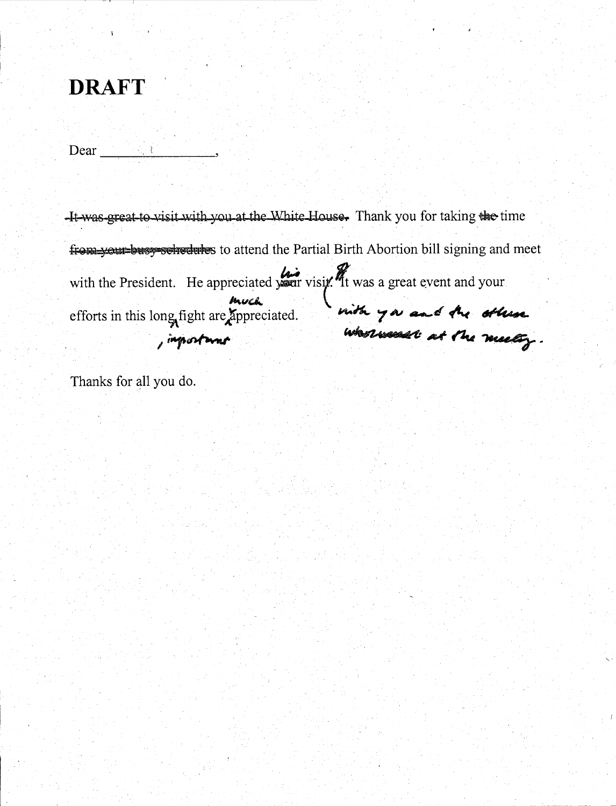## **DRAFT**

Dear  $\mathbb{R}^n \setminus \mathbb{R}^n$ 

-It-was-great-to-visit with you at the White-House. Thank you for taking the time from your busy schedules to attend the Partial Birth Abortion bill signing and meet with the President. He appreciated your visit. It was a great event and your with the President. In upper<br>efforts in this long fight are appreciated. what you and the others

Thanks for all you do.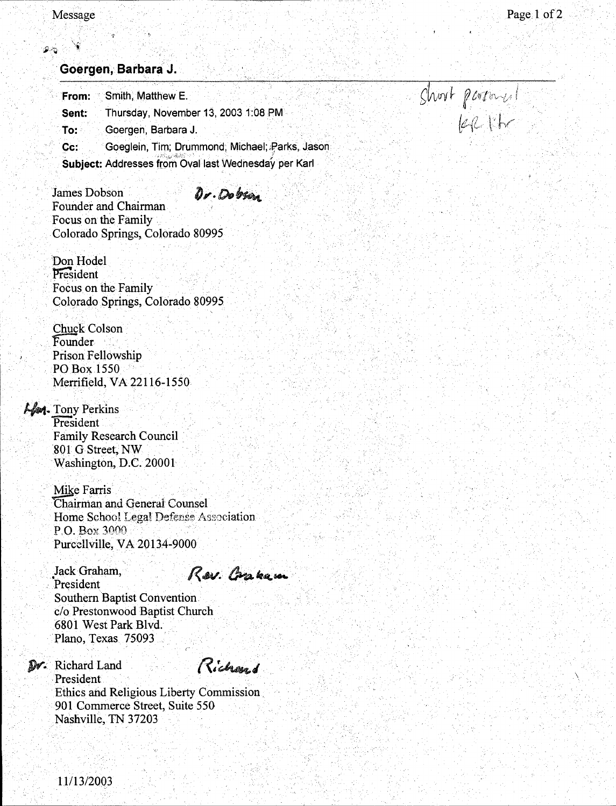#### Message

ೂ

.\.

### **·Goergen, Barbara J.**

**From:** · Smith, Matthew E. **Sent:** Thursday, November 13, 2003 1:08 PM **To:** Goergen, Barbara J. Cc: Goeglein, Tim; Drummond, Michael; Parks, Jason Subject: Addresses from Oval last Wednesday per Karl

'

James Dobson Dr. Doben Founder and Chairman FOCUS on the Family Colorado Springs, Colorado 80995

Don Hodel President Focus on the Family Colorado Springs, Colorado 80995

Chuck Colson Founder Prison Fellowship PO Box 1550 Merrifield,VA 22116-1550

An. Tony Perkins President Family Research Council \_ 801G Street, NW Washington, D.C. 20001

> Mike Farris ·Chairman and General Counsel Home School Legal Defense Association P.O. Box 3000 Purcellville, VA 20134-9000

Rav. Brakan

~~--------------------~-~-------------------------

Jack Graham, President Southern Baptist Convention. c/o Prestonwood Baptist Church 6801 West Park Blvd. Plano, Texas 75093 *r* 

Richard Dr. Richard Land ·President Ethics and Religious Liberty Commission . 901 Commerce Street, Suite 550 Nashville, TN 37203

Shoot partner!<br>GR lite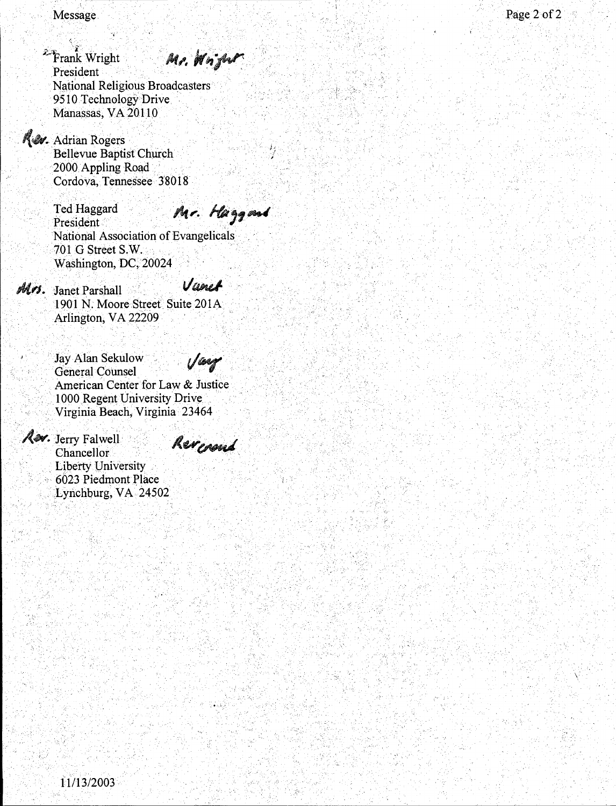Frank Wright Mr. Wright President **National Religious Broadcasters** 9510 Technology Drive Manassas, VA 20110

Rev. Adrian Rogers Bellevue Baptist Church 2000 Appling Road Cordova, Tennessee 38018

> **Ted Haggard** Mr. Haggand President National Association of Evangelicals 701 G Street S.W. Washington, DC, 20024

Vanet

Mrs. Janet Parshall 1901 N. Moore Street Suite 201A Arlington, VA 22209

> Jay Alan Sekulow Vag **General Counsel** American Center for Law & Justice 1000 Regent University Drive Virginia Beach, Virginia 23464

Rerennd

Asv. Jerry Falwell Chancellor **Liberty University** 6023 Piedmont Place Lynchburg, VA 24502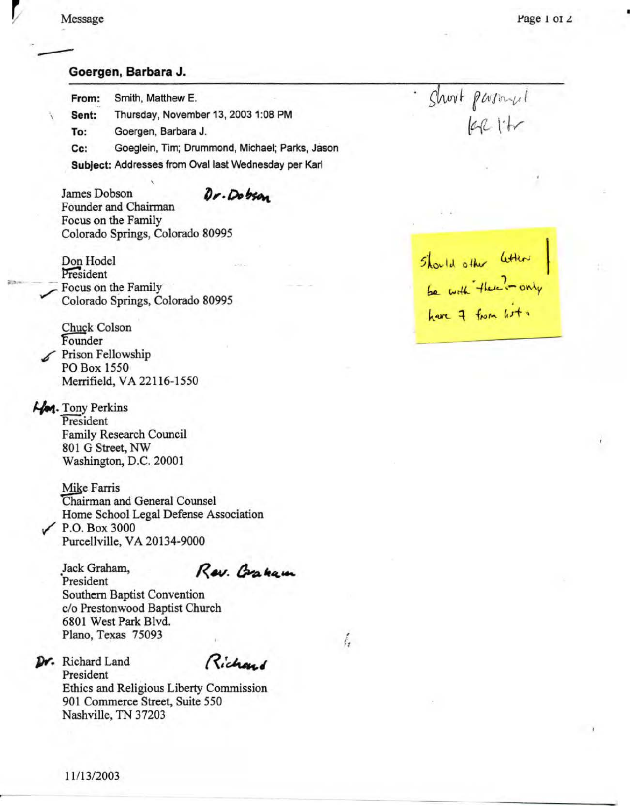# -- **Goergen, Barbara J.**

**From:** Smith, Matthew E. \ **Sent:** Thursday, November 13, 2003 1:08 PM **To:** Goergen, Barbara J. Cc: Goeglein, Tim; Drummond, Michael; Parks, Jason **Subject:** Addresses from Oval last Wednesday per Karl

James Dobson Dr. Dobsa Founder and Chairman Focus on the Family Colorado Springs, Colorado 80995

Don Hodel President /Focus on the Family Colorado Springs, Colorado 80995

Chuck Colson Founder Prison Fellowship PO Box 1550 Merrifield, VA 22116-1550

**Hom**. Tony Perkins President Family Research Council 801 G Street, NW Washington, D.C. 20001

**Mike Farris** Chairman and General Counsel Home School Legal Defense Association / P.O. Box 3000 Purcellville, VA 20134-9000

Jack Graham, **Rev. Crakaum** Southern Baptist Convention c/o Prestonwood Baptist Church 6801 West Park Blvd. Plano, Texas 75093

Dr. Richard Land

Richard

 $\hat{f}_{\pmb{i}}$ 

President Ethics and Religious Liberty Commission 901 Commerce Street, Suite 550 Nashville, TN 37203

Short parmyl  $l$ ulity

Should other letters<br>be with these - only<br>have 7 from list.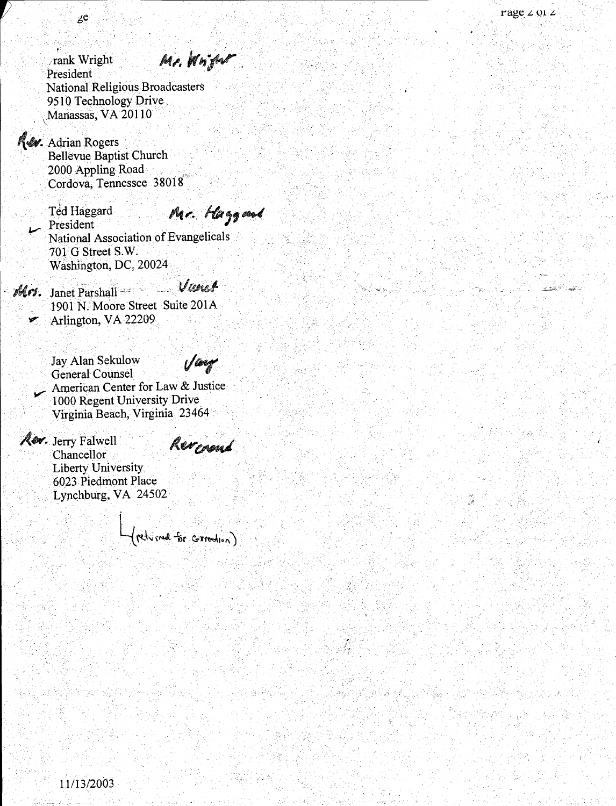Mr. Wright rank Wright President **National Religious Broadcasters** 9510 Technology Drive Manassas, VA 20110

**Rev.** Adrian Rogers **Bellevue Baptist Church** 2000 Appling Road Cordova, Tennessee 38018

зe

Mr. Haggand Ted Haggard President National Association of Evangelicals 701 G Street S.W. Washington, DC, 20024

Vanct Mrs. Janet Parshall 1901 N. Moore Street Suite 201A Arlington, VA 22209

> Vary Jay Alan Sekulow General Counsel American Center for Law & Justice 1000 Regent University Drive Virginia Beach, Virginia 23464

**Aev.** Jerry Falwell Chancellor Liberty University 6023 Piedmont Place Lynchburg, VA 24502

(returned for correction)

Rerownd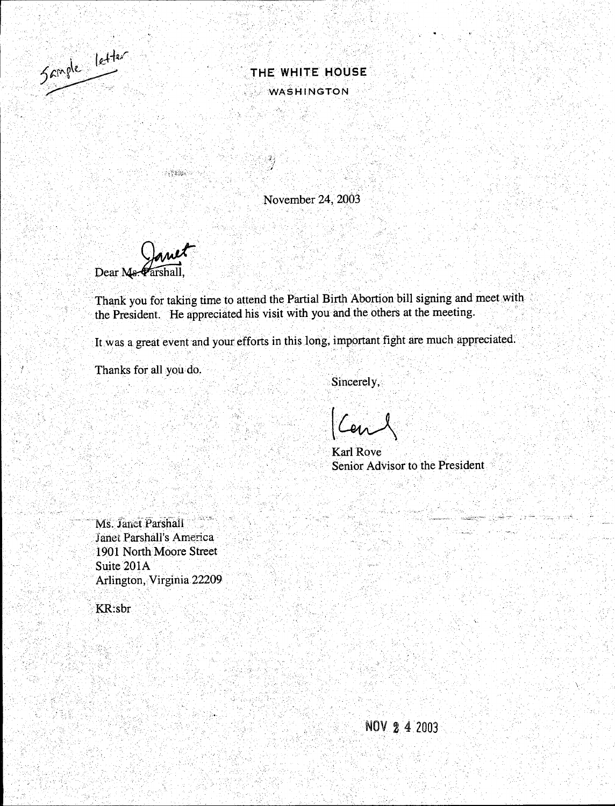

### ... **THE WHITE HOUSE.**  WASHINGTON

 $\frac{1}{2}$ 

November 24, 2003

Dear No. 2 and

 $\label{eq:1} \frac{1}{2}\log\frac{2\pi}{3}\frac{1}{2}\log\left(1+\log\left(\frac{1}{2}\right)\right)$ 

Thank you for taking time to attend the Partial Birth Abortion bill signing and meet with the President. He appreciated his visit with you and the others at the meeting.

 $\mathbb{Z}^2$ 

It was a great event and your efforts in this long, important fight are much appreciated.

Thanks for all you do.

Sincerely,

Karl Rove Senior Advisor to the President

Ms. Janet Parshall Janet Parshall's America 1901 North Moore Street Suite 201A Arlington, Virginia 22209

 $\cdot$  .  $\cdot$  .

KR:sbr

NOV 2 4 2003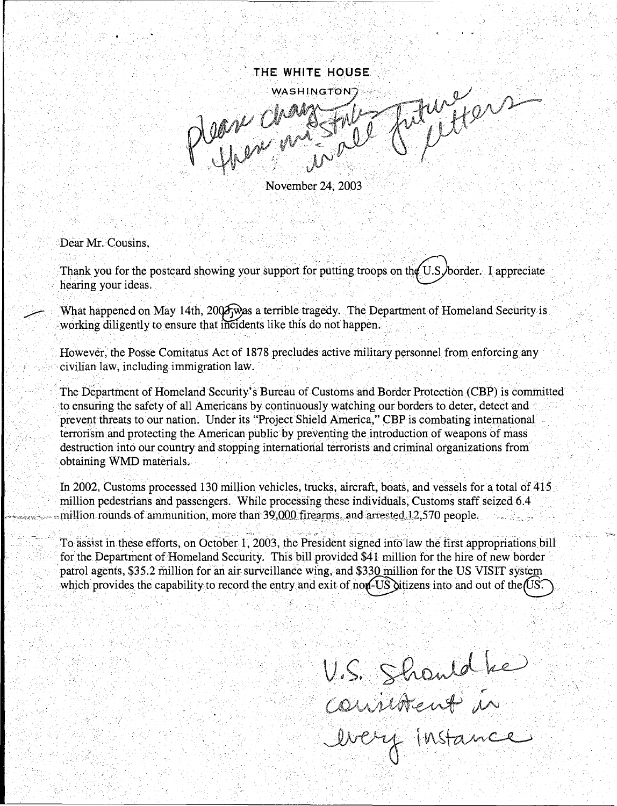## THE WHITE HOUSE Tity for Please changement WASHINGTON

November 24, 2003

Dear Mr. Cousins.

Thank you for the postcard showing your support for putting troops on the U.S. border. I appreciate hearing your ideas.

What happened on May 14th, 200 a s a terrible tragedy. The Department of Homeland Security is working diligently to ensure that incidents like this do not happen.

However, the Posse Comitatus Act of 1878 precludes active military personnel from enforcing any civilian law, including immigration law.

The Department of Homeland Security's Bureau of Customs and Border Protection (CBP) is committed to ensuring the safety of all Americans by continuously watching our borders to deter, detect and prevent threats to our nation. Under its "Project Shield America," CBP is combating international terrorism and protecting the American public by preventing the introduction of weapons of mass destruction into our country and stopping international terrorists and criminal organizations from obtaining WMD materials.

In 2002, Customs processed 130 million vehicles, trucks, aircraft, boats, and vessels for a total of 415 million pedestrians and passengers. While processing these individuals, Customs staff seized 6.4 million rounds of ammunition, more than 39,000 firearms, and arrested 12,570 people.

To assist in these efforts, on October 1, 2003, the President signed into law the first appropriations bill for the Department of Homeland Security. This bill provided \$41 million for the hire of new border patrol agents, \$35.2 million for an air surveillance wing, and \$330 million for the US VISIT system which provides the capability to record the entry and exit of non-US ditizens into and out of the US.

U.S. Should Le